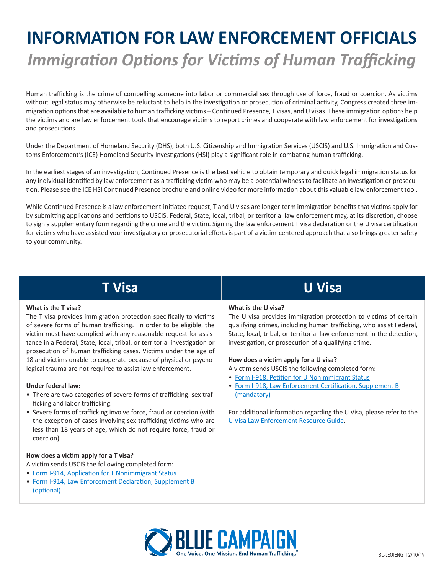# **INFORMATION FOR LAW ENFORCEMENT OFFICIALS** *Immigration Options for Victims of Human Trafficking*

Human trafficking is the crime of compelling someone into labor or commercial sex through use of force, fraud or coercion. As victims without legal status may otherwise be reluctant to help in the investigation or prosecution of criminal activity, Congress created three immigration options that are available to human trafficking victims – Continued Presence, T visas, and U visas. These immigration options help the victims and are law enforcement tools that encourage victims to report crimes and cooperate with law enforcement for investigations and prosecutions.

Under the Department of Homeland Security (DHS), both U.S. Citizenship and Immigration Services (USCIS) and U.S. Immigration and Customs Enforcement's (ICE) Homeland Security Investigations (HSI) play a significant role in combating human trafficking.

In the earliest stages of an investigation, Continued Presence is the best vehicle to obtain temporary and quick legal immigration status for any individual identified by law enforcement as a trafficking victim who may be a potential witness to facilitate an investigation or prosecution. Please see the ICE HSI Continued Presence brochure and online video for more information about this valuable law enforcement tool.

While Continued Presence is a law enforcement-initiated request, T and U visas are longer-term immigration benefits that victims apply for by submitting applications and petitions to USCIS. Federal, State, local, tribal, or territorial law enforcement may, at its discretion, choose to sign a supplementary form regarding the crime and the victim. Signing the law enforcement T visa declaration or the U visa certification for victims who have assisted your investigatory or prosecutorial efforts is part of a victim-centered approach that also brings greater safety to your community.

## **T Visa**

#### **What is the T visa?**

The T visa provides immigration protection specifically to victims of severe forms of human trafficking. In order to be eligible, the victim must have complied with any reasonable request for assistance in a Federal, State, local, tribal, or territorial investigation or prosecution of human trafficking cases. Victims under the age of 18 and victims unable to cooperate because of physical or psychological trauma are not required to assist law enforcement.

#### **Under federal law:**

- There are two categories of severe forms of trafficking: sex trafficking and labor trafficking.
- Severe forms of trafficking involve force, fraud or coercion (with the exception of cases involving sex trafficking victims who are less than 18 years of age, which do not require force, fraud or coercion).

#### **How does a victim apply for a T visa?**

- A victim sends USCIS the following completed form:
- [Form I-914, Application for T Nonimmigrant Status](https://www.uscis.gov/i-914)
- [Form I-914, Law Enforcement Declaration, Supplement B](https://www.uscis.gov/i-914)  [\(optional\)](https://www.uscis.gov/i-914)

### **What is the U visa?**

The U visa provides immigration protection to victims of certain qualifying crimes, including human trafficking, who assist Federal, State, local, tribal, or territorial law enforcement in the detection, investigation, or prosecution of a qualifying crime.

**U Visa**

#### **How does a victim apply for a U visa?**

A victim sends USCIS the following completed form:

- [Form I-918, Petition for U Nonimmigrant Status](https://www.uscis.gov/i-918)
- [Form I-918, Law Enforcement Certification, Supplement B](https://www.uscis.gov/i-918)  [\(mandatory\)](https://www.uscis.gov/i-918)

For additional information regarding the U Visa, please refer to the [U Visa Law Enforcement Resource Guide](https://www.uscis.gov/sites/default/files/USCIS/Humanitarian/U_Visa_Law_Enforcement_Resource_Guide.pdf).